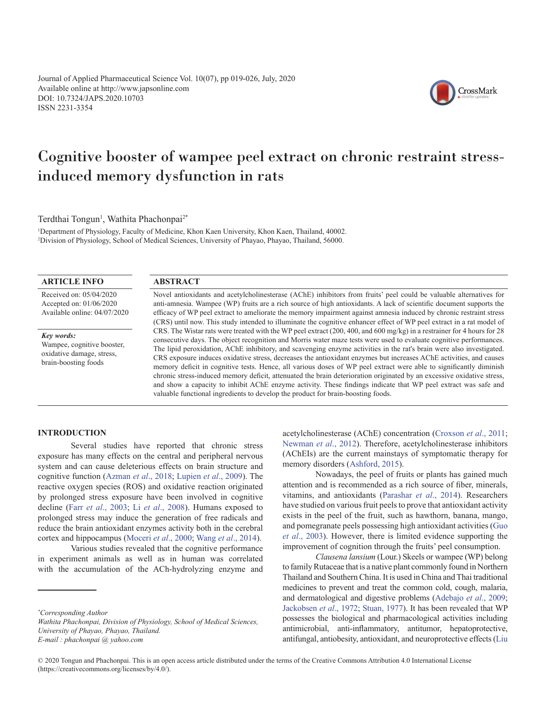Journal of Applied Pharmaceutical Science Vol. 10(07), pp 019-026, July, 2020 Available online at http://www.japsonline.com DOI: 10.7324/JAPS.2020.10703 ISSN 2231-3354



CrossMark

# Cognitive booster of wampee peel extract on chronic restraint stressinduced memory dysfunction in rats

Terdthai Tongun<sup>1</sup>, Wathita Phachonpai<sup>2\*</sup>

1 Department of Physiology, Faculty of Medicine, Khon Kaen University, Khon Kaen, Thailand, 40002. 2 Division of Physiology, School of Medical Sciences, University of Phayao, Phayao, Thailand, 56000.

# **ARTICLE INFO**

Received on: 05/04/2020 Accepted on: 01/06/2020 Available online: 04/07/2020

*Key words:* Wampee, cognitive booster, oxidative damage, stress, brain-boosting foods

## **ABSTRACT**

Novel antioxidants and acetylcholinesterase (AChE) inhibitors from fruits' peel could be valuable alternatives for anti-amnesia. Wampee (WP) fruits are a rich source of high antioxidants. A lack of scientific document supports the efficacy of WP peel extract to ameliorate the memory impairment against amnesia induced by chronic restraint stress (CRS) until now. This study intended to illuminate the cognitive enhancer effect of WP peel extract in a rat model of CRS. The Wistar rats were treated with the WP peel extract (200, 400, and 600 mg/kg) in a restrainer for 4 hours for 28 consecutive days. The object recognition and Morris water maze tests were used to evaluate cognitive performances. The lipid peroxidation, AChE inhibitory, and scavenging enzyme activities in the rat's brain were also investigated. CRS exposure induces oxidative stress, decreases the antioxidant enzymes but increases AChE activities, and causes memory deficit in cognitive tests. Hence, all various doses of WP peel extract were able to significantly diminish chronic stress-induced memory deficit, attenuated the brain deterioration originated by an excessive oxidative stress, and show a capacity to inhibit AChE enzyme activity. These findings indicate that WP peel extract was safe and valuable functional ingredients to develop the product for brain-boosting foods.

# **INTRODUCTION**

Several studies have reported that chronic stress exposure has many effects on the central and peripheral nervous system and can cause deleterious effects on brain structure and cognitive function ([Azman](#page-6-0) *et al*., 2018; [Lupien](#page-7-0) *et al*., 2009). The reactive oxygen species (ROS) and oxidative reaction originated by prolonged stress exposure have been involved in cognitive decline (Farr *et al*[., 2003;](#page-6-0) Li *et al*[., 2008](#page-7-0)). Humans exposed to prolonged stress may induce the generation of free radicals and reduce the brain antioxidant enzymes activity both in the cerebral cortex and hippocampus ([Moceri](#page-7-0) *et al*., 2000; Wang *et al*[., 2014\)](#page-7-0).

Various studies revealed that the cognitive performance in experiment animals as well as in human was correlated with the accumulation of the ACh-hydrolyzing enzyme and

acetylcholinesterase (AChE) concentration [\(Croxson](#page-6-0) *et al*., 2011; [Newman](#page-7-0) *et al*., 2012). Therefore, acetylcholinesterase inhibitors (AChEIs) are the current mainstays of symptomatic therapy for memory disorders [\(Ashford, 2015\)](#page-6-0).

Nowadays, the peel of fruits or plants has gained much attention and is recommended as a rich source of fiber, minerals, vitamins, and antioxidants [\(Parashar](#page-7-0) *et al*., 2014). Researchers have studied on various fruit peels to prove that antioxidant activity exists in the peel of the fruit, such as hawthorn, banana, mango, and pomegranate peels possessing high antioxidant activities [\(Guo](#page-6-0)  *et al*[., 2003](#page-6-0)). However, there is limited evidence supporting the improvement of cognition through the fruits' peel consumption.

*Clausena lansium* (Lour.) Skeels or wampee (WP) belong to family Rutaceae that is a native plant commonly found in Northern Thailand and Southern China. It is used in China and Thai traditional medicines to prevent and treat the common cold, cough, malaria, and dermatological and digestive problems [\(Adebajo](#page-6-0) *et al*., 2009; [Jackobsen](#page-6-0) *et al*., 1972; [Stuan, 1977\)](#page-7-0). It has been revealed that WP possesses the biological and pharmacological activities including antimicrobial, anti-inflammatory, antitumor, hepatoprotective, antifungal, antiobesity, antioxidant, and neuroprotective effects (Liu

*<sup>\*</sup> Corresponding Author* 

*Wathita Phachonpai, Division of Physiology, School of Medical Sciences, University of Phayao, Phayao, Thailand.* 

*E-mail : phachonpai @ yahoo.com*

<sup>© 2020</sup> Tongun and Phachonpai. This is an open access article distributed under the terms of the Creative Commons Attribution 4.0 International License (https://creativecommons.org/licenses/by/4.0/).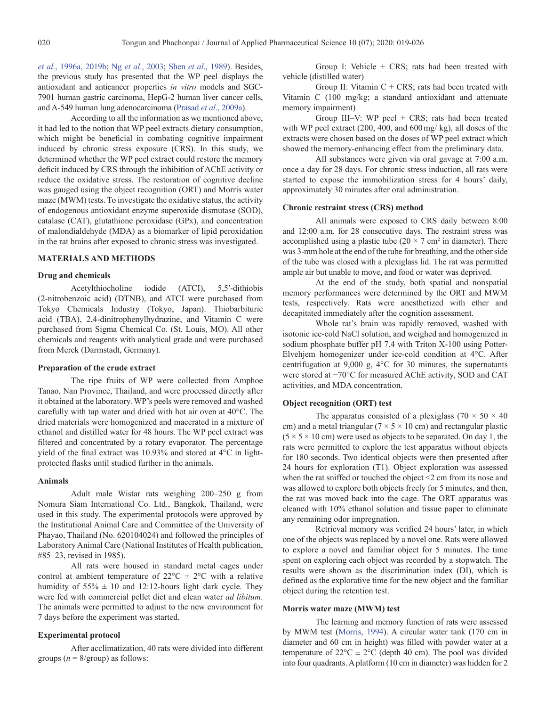*et al*., 1996a, 2019b; Ng *et al*[., 2003](#page-7-0); Shen *et al*[., 1989\)](#page-7-0). Besides, the previous study has presented that the WP peel displays the antioxidant and anticancer properties *in vitro* models and SGC-7901 human gastric carcinoma, HepG-2 human liver cancer cells, and A-549 human lung adenocarcinoma (Prasad *et al*[., 2009a\)](#page-7-0).

According to all the information as we mentioned above, it had led to the notion that WP peel extracts dietary consumption, which might be beneficial in combating cognitive impairment induced by chronic stress exposure (CRS). In this study, we determined whether the WP peel extract could restore the memory deficit induced by CRS through the inhibition of AChE activity or reduce the oxidative stress. The restoration of cognitive decline was gauged using the object recognition (ORT) and Morris water maze (MWM) tests. To investigate the oxidative status, the activity of endogenous antioxidant enzyme superoxide dismutase (SOD), catalase (CAT), glutathione peroxidase (GPx), and concentration of malondialdehyde (MDA) as a biomarker of lipid peroxidation in the rat brains after exposed to chronic stress was investigated.

#### **MATERIALS AND METHODS**

#### **Drug and chemicals**

Acetylthiocholine iodide (ATCI), 5,5′-dithiobis (2-nitrobenzoic acid) (DTNB), and ATCI were purchased from Tokyo Chemicals Industry (Tokyo, Japan). Thiobarbituric acid (TBA), 2,4-dinitrophenylhydrazine, and Vitamin C were purchased from Sigma Chemical Co. (St. Louis, MO). All other chemicals and reagents with analytical grade and were purchased from Merck (Darmstadt, Germany).

#### **Preparation of the crude extract**

The ripe fruits of WP were collected from Amphoe Tanao, Nan Province, Thailand, and were processed directly after it obtained at the laboratory. WP's peels were removed and washed carefully with tap water and dried with hot air oven at 40°C. The dried materials were homogenized and macerated in a mixture of ethanol and distilled water for 48 hours. The WP peel extract was filtered and concentrated by a rotary evaporator. The percentage yield of the final extract was 10.93% and stored at 4°C in lightprotected flasks until studied further in the animals.

#### **Animals**

Adult male Wistar rats weighing 200–250 g from Nomura Siam International Co. Ltd., Bangkok, Thailand, were used in this study. The experimental protocols were approved by the Institutional Animal Care and Committee of the University of Phayao, Thailand (No. 620104024) and followed the principles of Laboratory Animal Care (National Institutes of Health publication, #85–23, revised in 1985).

All rats were housed in standard metal cages under control at ambient temperature of  $22^{\circ}C \pm 2^{\circ}C$  with a relative humidity of  $55\% \pm 10$  and 12:12-hours light-dark cycle. They were fed with commercial pellet diet and clean water *ad libitum*. The animals were permitted to adjust to the new environment for 7 days before the experiment was started.

#### **Experimental protocol**

After acclimatization, 40 rats were divided into different groups  $(n = 8/\text{group})$  as follows:

Group I: Vehicle + CRS; rats had been treated with vehicle (distilled water)

Group II: Vitamin  $C + CRS$ ; rats had been treated with Vitamin C (100 mg/kg; a standard antioxidant and attenuate memory impairment)

Group III–V: WP peel + CRS; rats had been treated with WP peel extract (200, 400, and 600mg/ kg), all doses of the extracts were chosen based on the doses of WP peel extract which showed the memory-enhancing effect from the preliminary data.

All substances were given via oral gavage at 7:00 a.m. once a day for 28 days. For chronic stress induction, all rats were started to expose the immobilization stress for 4 hours' daily, approximately 30 minutes after oral administration.

#### **Chronic restraint stress (CRS) method**

All animals were exposed to CRS daily between 8:00 and 12:00 a.m. for 28 consecutive days. The restraint stress was accomplished using a plastic tube  $(20 \times 7 \text{ cm}^2 \text{ in diameter})$ . There was 3-mm hole at the end of the tube for breathing, and the other side of the tube was closed with a plexiglass lid. The rat was permitted ample air but unable to move, and food or water was deprived.

At the end of the study, both spatial and nonspatial memory performances were determined by the ORT and MWM tests, respectively. Rats were anesthetized with ether and decapitated immediately after the cognition assessment.

Whole rat's brain was rapidly removed, washed with isotonic ice-cold NaCl solution, and weighed and homogenized in sodium phosphate buffer pH 7.4 with Triton X-100 using Potter-Elvehjem homogenizer under ice-cold condition at 4°C. After centrifugation at 9,000 g, 4°C for 30 minutes, the supernatants were stored at −70°C for measured AChE activity, SOD and CAT activities, and MDA concentration.

## **Object recognition (ORT) test**

The apparatus consisted of a plexiglass ( $70 \times 50 \times 40$ ) cm) and a metal triangular ( $7 \times 5 \times 10$  cm) and rectangular plastic  $(5 \times 5 \times 10 \text{ cm})$  were used as objects to be separated. On day 1, the rats were permitted to explore the test apparatus without objects for 180 seconds. Two identical objects were then presented after 24 hours for exploration (T1). Object exploration was assessed when the rat sniffed or touched the object <2 cm from its nose and was allowed to explore both objects freely for 5 minutes, and then, the rat was moved back into the cage. The ORT apparatus was cleaned with 10% ethanol solution and tissue paper to eliminate any remaining odor impregnation.

Retrieval memory was verified 24 hours' later, in which one of the objects was replaced by a novel one. Rats were allowed to explore a novel and familiar object for 5 minutes. The time spent on exploring each object was recorded by a stopwatch. The results were shown as the discrimination index (DI), which is defined as the explorative time for the new object and the familiar object during the retention test.

#### **Morris water maze (MWM) test**

The learning and memory function of rats were assessed by MWM test ([Morris, 1994](#page-7-0)). A circular water tank (170 cm in diameter and 60 cm in height) was filled with powder water at a temperature of  $22^{\circ}C \pm 2^{\circ}C$  (depth 40 cm). The pool was divided into four quadrants. A platform (10 cm in diameter) was hidden for 2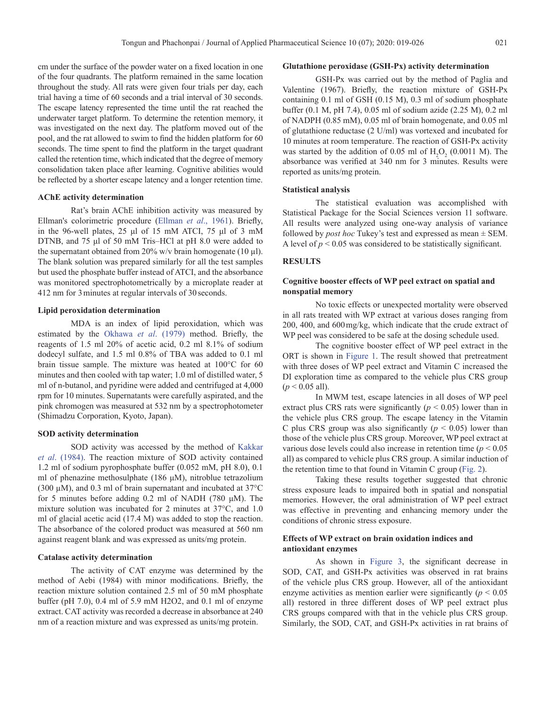cm under the surface of the powder water on a fixed location in one of the four quadrants. The platform remained in the same location throughout the study. All rats were given four trials per day, each trial having a time of 60 seconds and a trial interval of 30 seconds. The escape latency represented the time until the rat reached the underwater target platform. To determine the retention memory, it was investigated on the next day. The platform moved out of the pool, and the rat allowed to swim to find the hidden platform for 60 seconds. The time spent to find the platform in the target quadrant called the retention time, which indicated that the degree of memory

consolidation taken place after learning. Cognitive abilities would be reflected by a shorter escape latency and a longer retention time.

# **AChE activity determination**

Rat's brain AChE inhibition activity was measured by Ellman's colorimetric procedure [\(Ellman](#page-6-0) *et al*., 1961). Briefly, in the 96-well plates, 25 μl of 15 mM ATCI, 75 μl of 3 mM DTNB, and 75 μl of 50 mM Tris–HCl at pH 8.0 were added to the supernatant obtained from 20% w/v brain homogenate (10  $\mu$ l). The blank solution was prepared similarly for all the test samples but used the phosphate buffer instead of ATCI, and the absorbance was monitored spectrophotometrically by a microplate reader at 412 nm for 3minutes at regular intervals of 30seconds.

#### **Lipid peroxidation determination**

MDA is an index of lipid peroxidation, which was estimated by the [Okhawa](#page-7-0) *et al*. (1979) method. Briefly, the reagents of 1.5 ml 20% of acetic acid, 0.2 ml 8.1% of sodium dodecyl sulfate, and 1.5 ml 0.8% of TBA was added to 0.1 ml brain tissue sample. The mixture was heated at 100°C for 60 minutes and then cooled with tap water; 1.0 ml of distilled water, 5 ml of n-butanol, and pyridine were added and centrifuged at 4,000 rpm for 10 minutes. Supernatants were carefully aspirated, and the pink chromogen was measured at 532 nm by a spectrophotometer (Shimadzu Corporation, Kyoto, Japan).

## **SOD activity determination**

SOD activity was accessed by the method of [Kakkar](#page-7-0) *et al*[. \(1984\).](#page-7-0) The reaction mixture of SOD activity contained 1.2 ml of sodium pyrophosphate buffer (0.052 mM, pH 8.0), 0.1 ml of phenazine methosulphate (186 μM), nitroblue tetrazolium (300  $\mu$ M), and 0.3 ml of brain supernatant and incubated at 37 $\rm{^{\circ}C}$ for 5 minutes before adding 0.2 ml of NADH (780 μM). The mixture solution was incubated for 2 minutes at 37°C, and 1.0 ml of glacial acetic acid (17.4 M) was added to stop the reaction. The absorbance of the colored product was measured at 560 nm against reagent blank and was expressed as units/mg protein.

#### **Catalase activity determination**

The activity of CAT enzyme was determined by the method of Aebi (1984) with minor modifications. Briefly, the reaction mixture solution contained 2.5 ml of 50 mM phosphate buffer (pH 7.0), 0.4 ml of 5.9 mM H2O2, and 0.1 ml of enzyme extract. CAT activity was recorded a decrease in absorbance at 240 nm of a reaction mixture and was expressed as units/mg protein.

#### **Glutathione peroxidase (GSH-Px) activity determination**

GSH-Px was carried out by the method of Paglia and Valentine (1967). Briefly, the reaction mixture of GSH-Px containing 0.1 ml of GSH (0.15 M), 0.3 ml of sodium phosphate buffer (0.1 M, pH 7.4), 0.05 ml of sodium azide (2.25 M), 0.2 ml of NADPH (0.85 mM), 0.05 ml of brain homogenate, and 0.05 ml of glutathione reductase (2 U/ml) was vortexed and incubated for 10 minutes at room temperature. The reaction of GSH-Px activity was started by the addition of  $0.05$  ml of  $H_2O_2$  (0.0011 M). The absorbance was verified at 340 nm for 3 minutes. Results were reported as units/mg protein.

## **Statistical analysis**

The statistical evaluation was accomplished with Statistical Package for the Social Sciences version 11 software. All results were analyzed using one-way analysis of variance followed by *post hoc* Tukey's test and expressed as mean  $\pm$  SEM. A level of  $p < 0.05$  was considered to be statistically significant.

## **RESULTS**

# **Cognitive booster effects of WP peel extract on spatial and nonspatial memory**

No toxic effects or unexpected mortality were observed in all rats treated with WP extract at various doses ranging from 200, 400, and 600mg/kg, which indicate that the crude extract of WP peel was considered to be safe at the dosing schedule used.

The cognitive booster effect of WP peel extract in the ORT is shown in [Figure 1.](#page-3-0) The result showed that pretreatment with three doses of WP peel extract and Vitamin C increased the DI exploration time as compared to the vehicle plus CRS group  $(p < 0.05$  all).

In MWM test, escape latencies in all doses of WP peel extract plus CRS rats were significantly ( $p < 0.05$ ) lower than in the vehicle plus CRS group. The escape latency in the Vitamin C plus CRS group was also significantly  $(p < 0.05)$  lower than those of the vehicle plus CRS group. Moreover, WP peel extract at various dose levels could also increase in retention time (*p* < 0.05 all) as compared to vehicle plus CRS group. A similar induction of the retention time to that found in Vitamin C group [\(Fig. 2\)](#page-3-0).

Taking these results together suggested that chronic stress exposure leads to impaired both in spatial and nonspatial memories. However, the oral administration of WP peel extract was effective in preventing and enhancing memory under the conditions of chronic stress exposure.

## **Effects of WP extract on brain oxidation indices and antioxidant enzymes**

As shown in [Figure 3,](#page-4-0) the significant decrease in SOD, CAT, and GSH-Px activities was observed in rat brains of the vehicle plus CRS group. However, all of the antioxidant enzyme activities as mention earlier were significantly  $(p < 0.05$ all) restored in three different doses of WP peel extract plus CRS groups compared with that in the vehicle plus CRS group. Similarly, the SOD, CAT, and GSH-Px activities in rat brains of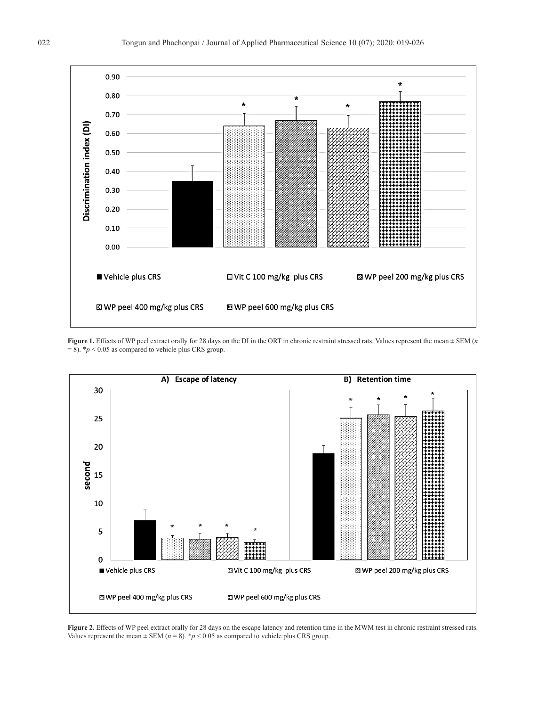<span id="page-3-0"></span>

**Figure 1.** Effects of WP peel extract orally for 28 days on the DI in the ORT in chronic restraint stressed rats. Values represent the mean ± SEM (*n*  $= 8$ ). \* $p < 0.05$  as compared to vehicle plus CRS group.



**Figure 2.** Effects of WP peel extract orally for 28 days on the escape latency and retention time in the MWM test in chronic restraint stressed rats. Values represent the mean  $\pm$  SEM ( $n = 8$ ). \* $p < 0.05$  as compared to vehicle plus CRS group.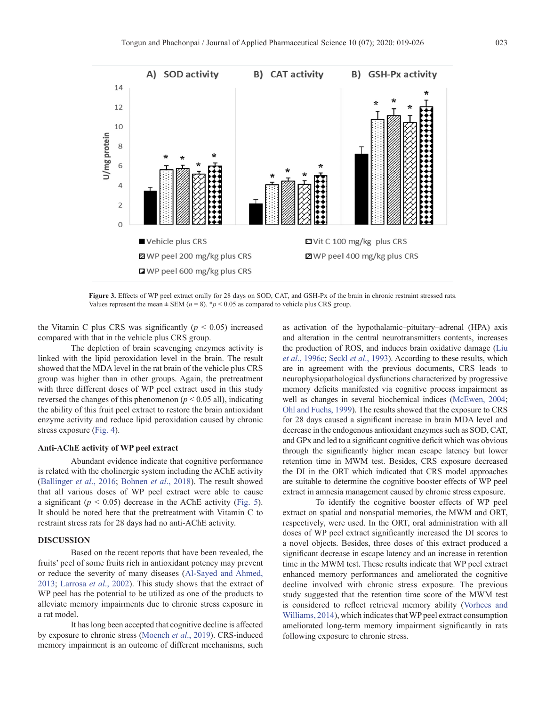<span id="page-4-0"></span>

**Figure 3.** Effects of WP peel extract orally for 28 days on SOD, CAT, and GSH-Px of the brain in chronic restraint stressed rats. Values represent the mean  $\pm$  SEM ( $n = 8$ ). \* $p < 0.05$  as compared to vehicle plus CRS group.

the Vitamin C plus CRS was significantly  $(p < 0.05)$  increased compared with that in the vehicle plus CRS group.

The depletion of brain scavenging enzymes activity is linked with the lipid peroxidation level in the brain. The result showed that the MDA level in the rat brain of the vehicle plus CRS group was higher than in other groups. Again, the pretreatment with three different doses of WP peel extract used in this study reversed the changes of this phenomenon ( $p < 0.05$  all), indicating the ability of this fruit peel extract to restore the brain antioxidant enzyme activity and reduce lipid peroxidation caused by chronic stress exposure [\(Fig. 4\)](#page-5-0).

## **Anti-AChE activity of WP peel extract**

Abundant evidence indicate that cognitive performance is related with the cholinergic system including the AChE activity ([Ballinger](#page-6-0) *et al*., 2016; [Bohnen](#page-6-0) *et al*., 2018). The result showed that all various doses of WP peel extract were able to cause a significant  $(p < 0.05)$  decrease in the AChE activity ([Fig. 5](#page-5-0)). It should be noted here that the pretreatment with Vitamin C to restraint stress rats for 28 days had no anti-AChE activity.

#### **DISCUSSION**

Based on the recent reports that have been revealed, the fruits' peel of some fruits rich in antioxidant potency may prevent or reduce the severity of many diseases ([Al-Sayed and Ahmed,](#page-6-0) [2013;](#page-6-0) [Larrosa](#page-7-0) *et al*., 2002). This study shows that the extract of WP peel has the potential to be utilized as one of the products to alleviate memory impairments due to chronic stress exposure in a rat model.

It has long been accepted that cognitive decline is affected by exposure to chronic stress [\(Moench](#page-7-0) *et al*., 2019). CRS-induced memory impairment is an outcome of different mechanisms, such

as activation of the hypothalamic–pituitary–adrenal (HPA) axis and alteration in the central neurotransmitters contents, increases the production of ROS, and induces brain oxidative damage (Liu *et al*., 1996c; Seckl *et al*[., 1993](#page-7-0)). According to these results, which are in agreement with the previous documents, CRS leads to neurophysiopathological dysfunctions characterized by progressive memory deficits manifested via cognitive process impairment as well as changes in several biochemical indices ([McEwen, 2004;](#page-7-0) [Ohl and Fuchs, 1999\)](#page-7-0). The results showed that the exposure to CRS for 28 days caused a significant increase in brain MDA level and decrease in the endogenous antioxidant enzymes such as SOD, CAT, and GPx and led to a significant cognitive deficit which was obvious through the significantly higher mean escape latency but lower retention time in MWM test. Besides, CRS exposure decreased the DI in the ORT which indicated that CRS model approaches are suitable to determine the cognitive booster effects of WP peel extract in amnesia management caused by chronic stress exposure.

To identify the cognitive booster effects of WP peel extract on spatial and nonspatial memories, the MWM and ORT, respectively, were used. In the ORT, oral administration with all doses of WP peel extract significantly increased the DI scores to a novel objects. Besides, three doses of this extract produced a significant decrease in escape latency and an increase in retention time in the MWM test. These results indicate that WP peel extract enhanced memory performances and ameliorated the cognitive decline involved with chronic stress exposure. The previous study suggested that the retention time score of the MWM test is considered to reflect retrieval memory ability ([Vorhees and](#page-7-0)  [Williams, 2014](#page-7-0)), which indicates that WP peel extract consumption ameliorated long-term memory impairment significantly in rats following exposure to chronic stress.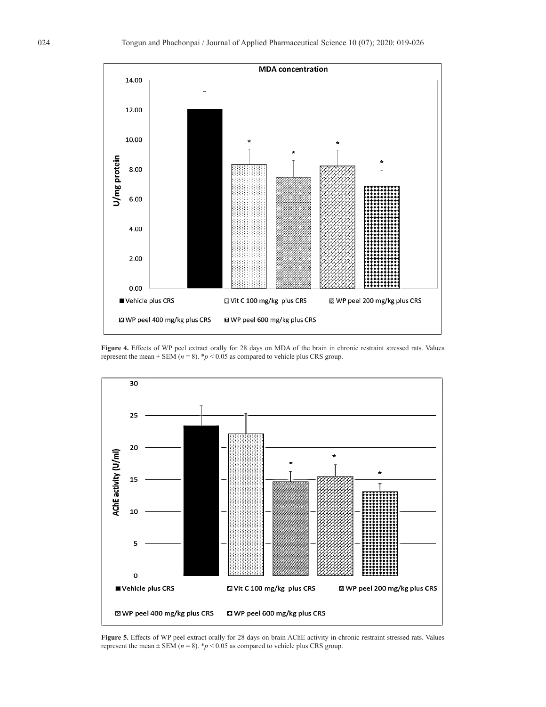<span id="page-5-0"></span>

**Figure 4.** Effects of WP peel extract orally for 28 days on MDA of the brain in chronic restraint stressed rats. Values represent the mean  $\pm$  SEM ( $n = 8$ ). \* $p < 0.05$  as compared to vehicle plus CRS group.



**Figure 5.** Effects of WP peel extract orally for 28 days on brain AChE activity in chronic restraint stressed rats. Values represent the mean  $\pm$  SEM ( $n = 8$ ). \* $p < 0.05$  as compared to vehicle plus CRS group.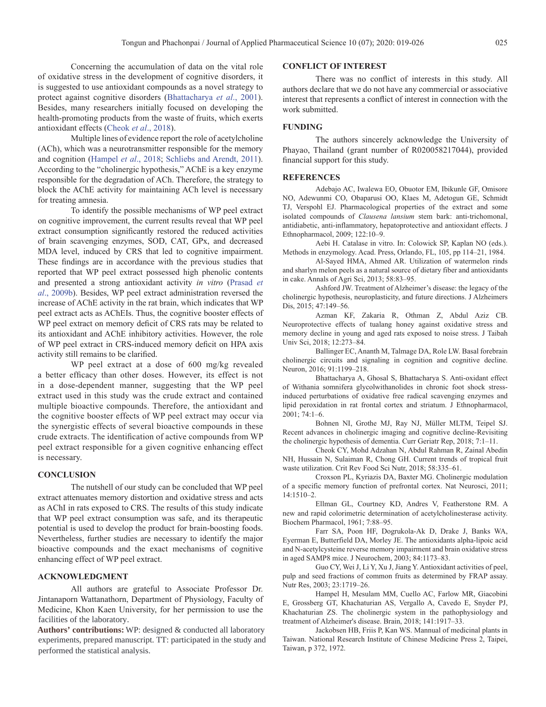<span id="page-6-0"></span>Concerning the accumulation of data on the vital role of oxidative stress in the development of cognitive disorders, it is suggested to use antioxidant compounds as a novel strategy to protect against cognitive disorders (Bhattacharya *et al*., 2001). Besides, many researchers initially focused on developing the health-promoting products from the waste of fruits, which exerts antioxidant effects (Cheok *et al*., 2018).

Multiple lines of evidence report the role of acetylcholine (ACh), which was a neurotransmitter responsible for the memory and cognition (Hampel *et al*., 2018; [Schliebs and Arendt, 2011](#page-7-0)). According to the "cholinergic hypothesis," AChE is a key enzyme responsible for the degradation of ACh. Therefore, the strategy to block the AChE activity for maintaining ACh level is necessary for treating amnesia.

To identify the possible mechanisms of WP peel extract on cognitive improvement, the current results reveal that WP peel extract consumption significantly restored the reduced activities of brain scavenging enzymes, SOD, CAT, GPx, and decreased MDA level, induced by CRS that led to cognitive impairment. These findings are in accordance with the previous studies that reported that WP peel extract possessed high phenolic contents and presented a strong antioxidant activity *in vitro* [\(Prasad](#page-7-0) *et al*[., 2009b\)](#page-7-0). Besides, WP peel extract administration reversed the increase of AChE activity in the rat brain, which indicates that WP peel extract acts as AChEIs. Thus, the cognitive booster effects of WP peel extract on memory deficit of CRS rats may be related to its antioxidant and AChE inhibitory activities. However, the role of WP peel extract in CRS-induced memory deficit on HPA axis activity still remains to be clarified.

WP peel extract at a dose of 600 mg/kg revealed a better efficacy than other doses. However, its effect is not in a dose-dependent manner, suggesting that the WP peel extract used in this study was the crude extract and contained multiple bioactive compounds. Therefore, the antioxidant and the cognitive booster effects of WP peel extract may occur via the synergistic effects of several bioactive compounds in these crude extracts. The identification of active compounds from WP peel extract responsible for a given cognitive enhancing effect is necessary.

### **CONCLUSION**

The nutshell of our study can be concluded that WP peel extract attenuates memory distortion and oxidative stress and acts as AChI in rats exposed to CRS. The results of this study indicate that WP peel extract consumption was safe, and its therapeutic potential is used to develop the product for brain-boosting foods. Nevertheless, further studies are necessary to identify the major bioactive compounds and the exact mechanisms of cognitive enhancing effect of WP peel extract.

# **ACKNOWLEDGMENT**

All authors are grateful to Associate Professor Dr. Jintanaporn Wattanathorn, Department of Physiology, Faculty of Medicine, Khon Kaen University, for her permission to use the facilities of the laboratory.

Authors' contributions: WP: designed & conducted all laboratory experiments, prepared manuscript. TT: participated in the study and performed the statistical analysis.

#### **CONFLICT OF INTEREST**

There was no conflict of interests in this study. All authors declare that we do not have any commercial or associative interest that represents a conflict of interest in connection with the work submitted.

#### **FUNDING**

The authors sincerely acknowledge the University of Phayao, Thailand (grant number of R020058217044), provided financial support for this study.

## **REFERENCES**

Adebajo AC, Iwalewa EO, Obuotor EM, Ibikunle GF, Omisore NO, Adewunmi CO, Obaparusi OO, Klaes M, Adetogun GE, Schmidt TJ, Verspohl EJ. Pharmacological properties of the extract and some isolated compounds of *Clausena lansium* stem bark: anti-trichomonal, antidiabetic, anti-inflammatory, hepatoprotective and antioxidant effects. J Ethnopharmacol, 2009; 122:10–9.

Aebi H. Catalase in vitro. In: Colowick SP, Kaplan NO (eds.). Methods in enzymology. Acad. Press, Orlando, FL, 105, pp 114–21, 1984.

Al-Sayed HMA, Ahmed AR. Utilization of watermelon rinds and sharlyn melon peels as a natural source of dietary fiber and antioxidants in cake. Annals of Agri Sci, 2013; 58:83–95.

Ashford JW. Treatment of Alzheimer's disease: the legacy of the cholinergic hypothesis, neuroplasticity, and future directions. J Alzheimers Dis, 2015; 47:149–56.

Azman KF, Zakaria R, Othman Z, Abdul Aziz CB. Neuroprotective effects of tualang honey against oxidative stress and memory decline in young and aged rats exposed to noise stress. J Taibah Univ Sci, 2018; 12:273–84.

Ballinger EC, Ananth M, Talmage DA, Role LW. Basal forebrain cholinergic circuits and signaling in cognition and cognitive decline. Neuron, 2016; 91:1199–218.

Bhattacharya A, Ghosal S, Bhattacharya S. Anti-oxidant effect of Withania somnifera glycolwithanolides in chronic foot shock stressinduced perturbations of oxidative free radical scavenging enzymes and lipid peroxidation in rat frontal cortex and striatum. J Ethnopharmacol, 2001; 74:1–6.

Bohnen NI, Grothe MJ, Ray NJ, Müller MLTM, Teipel SJ. Recent advances in cholinergic imaging and cognitive decline-Revisiting the cholinergic hypothesis of dementia. Curr Geriatr Rep, 2018; 7:1–11.

Cheok CY, Mohd Adzahan N, Abdul Rahman R, Zainal Abedin NH, Hussain N, Sulaiman R, Chong GH. Current trends of tropical fruit waste utilization. Crit Rev Food Sci Nutr, 2018; 58:335–61.

Croxson PL, Kyriazis DA, Baxter MG. Cholinergic modulation of a specific memory function of prefrontal cortex. Nat Neurosci, 2011; 14:1510–2.

Ellman GL, Courtney KD, Andres V, Featherstone RM. A new and rapid colorimetric determination of acetylcholinesterase activity. Biochem Pharmacol, 1961; 7:88–95.

Farr SA, Poon HF, Dogrukola-Ak D, Drake J, Banks WA, Eyerman E, Butterfield DA, Morley JE. The antioxidants alpha-lipoic acid and N-acetylcysteine reverse memory impairment and brain oxidative stress in aged SAMP8 mice. J Neurochem, 2003; 84:1173–83.

Guo CY, Wei J, Li Y, Xu J, Jiang Y. Antioxidant activities of peel, pulp and seed fractions of common fruits as determined by FRAP assay. Nutr Res, 2003; 23:1719–26.

Hampel H, Mesulam MM, Cuello AC, Farlow MR, Giacobini E, Grossberg GT, Khachaturian AS, Vergallo A, Cavedo E, Snyder PJ, Khachaturian ZS. The cholinergic system in the pathophysiology and treatment of Alzheimer's disease. Brain, 2018; 141:1917–33.

Jackobsen HB, Friis P, Kan WS. Mannual of medicinal plants in Taiwan. National Research Institute of Chinese Medicine Press 2, Taipei, Taiwan, p 372, 1972.